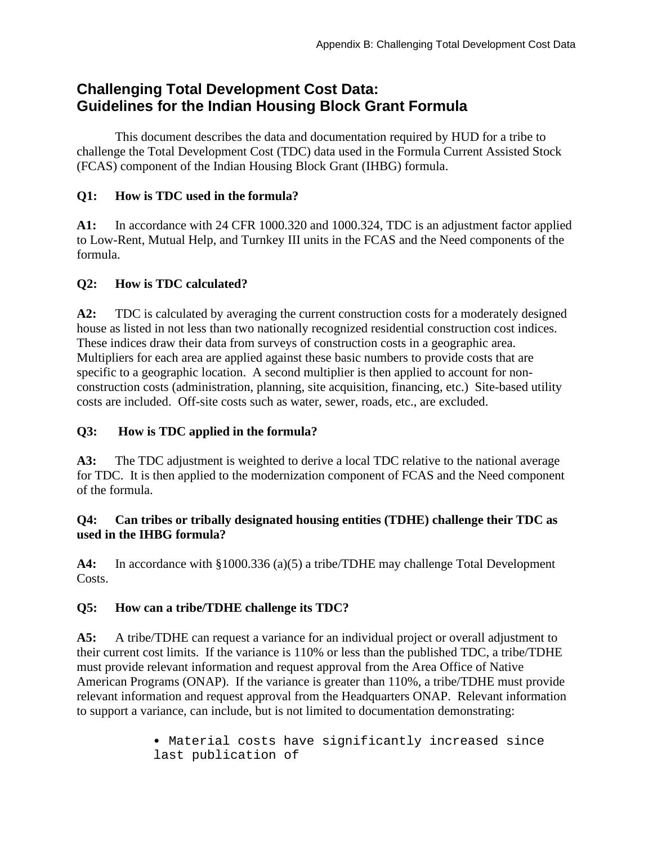# **Challenging Total Development Cost Data: Guidelines for the Indian Housing Block Grant Formula**

This document describes the data and documentation required by HUD for a tribe to challenge the Total Development Cost (TDC) data used in the Formula Current Assisted Stock (FCAS) component of the Indian Housing Block Grant (IHBG) formula.

#### **Q1: How is TDC used in the formula?**

**A1:** In accordance with 24 CFR 1000.320 and 1000.324, TDC is an adjustment factor applied to Low-Rent, Mutual Help, and Turnkey III units in the FCAS and the Need components of the formula.

### **Q2: How is TDC calculated?**

**A2:** TDC is calculated by averaging the current construction costs for a moderately designed house as listed in not less than two nationally recognized residential construction cost indices. These indices draw their data from surveys of construction costs in a geographic area. Multipliers for each area are applied against these basic numbers to provide costs that are specific to a geographic location. A second multiplier is then applied to account for nonconstruction costs (administration, planning, site acquisition, financing, etc.) Site-based utility costs are included. Off-site costs such as water, sewer, roads, etc., are excluded.

### **Q3: How is TDC applied in the formula?**

**A3:** The TDC adjustment is weighted to derive a local TDC relative to the national average for TDC. It is then applied to the modernization component of FCAS and the Need component of the formula.

#### **Q4: Can tribes or tribally designated housing entities (TDHE) challenge their TDC as used in the IHBG formula?**

**A4:** In accordance with §1000.336 (a)(5) a tribe/TDHE may challenge Total Development Costs.

## **Q5: How can a tribe/TDHE challenge its TDC?**

**A5:** A tribe/TDHE can request a variance for an individual project or overall adjustment to their current cost limits. If the variance is 110% or less than the published TDC, a tribe/TDHE must provide relevant information and request approval from the Area Office of Native American Programs (ONAP). If the variance is greater than 110%, a tribe/TDHE must provide relevant information and request approval from the Headquarters ONAP. Relevant information to support a variance, can include, but is not limited to documentation demonstrating:

> • Material costs have significantly increased since last publication of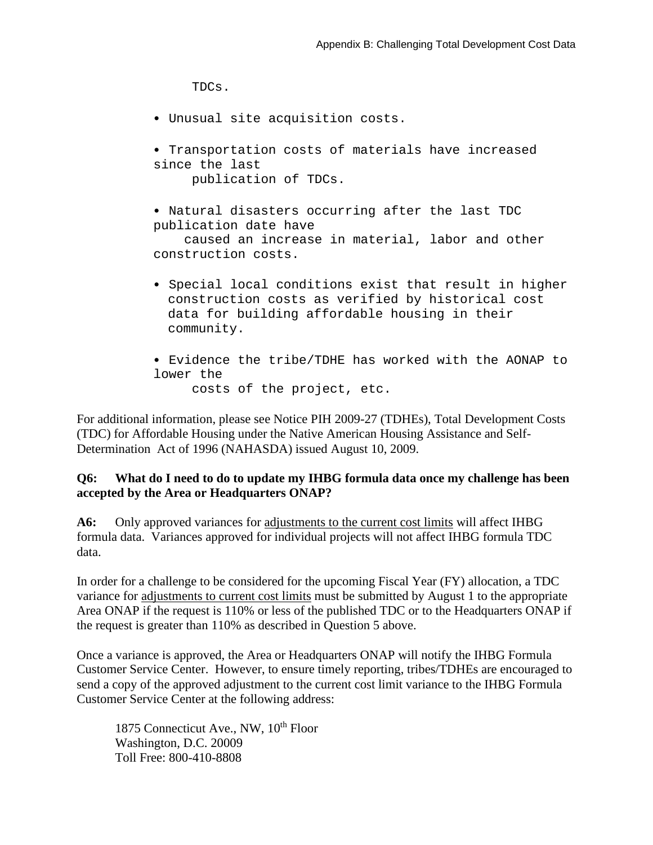TDCs.

- Unusual site acquisition costs.
- Transportation costs of materials have increased since the last publication of TDCs.
- Natural disasters occurring after the last TDC publication date have

 caused an increase in material, labor and other construction costs.

- Special local conditions exist that result in higher construction costs as verified by historical cost data for building affordable housing in their community.
- Evidence the tribe/TDHE has worked with the AONAP to lower the
	- costs of the project, etc.

For additional information, please see Notice PIH 2009-27 (TDHEs), Total Development Costs (TDC) for Affordable Housing under the Native American Housing Assistance and Self-Determination Act of 1996 (NAHASDA) issued August 10, 2009.

#### **Q6: What do I need to do to update my IHBG formula data once my challenge has been accepted by the Area or Headquarters ONAP?**

**A6:** Only approved variances for adjustments to the current cost limits will affect IHBG formula data. Variances approved for individual projects will not affect IHBG formula TDC data.

In order for a challenge to be considered for the upcoming Fiscal Year (FY) allocation, a TDC variance for adjustments to current cost limits must be submitted by August 1 to the appropriate Area ONAP if the request is 110% or less of the published TDC or to the Headquarters ONAP if the request is greater than 110% as described in Question 5 above.

Once a variance is approved, the Area or Headquarters ONAP will notify the IHBG Formula Customer Service Center. However, to ensure timely reporting, tribes/TDHEs are encouraged to send a copy of the approved adjustment to the current cost limit variance to the IHBG Formula Customer Service Center at the following address:

1875 Connecticut Ave., NW, 10<sup>th</sup> Floor Washington, D.C. 20009 Toll Free: 800-410-8808